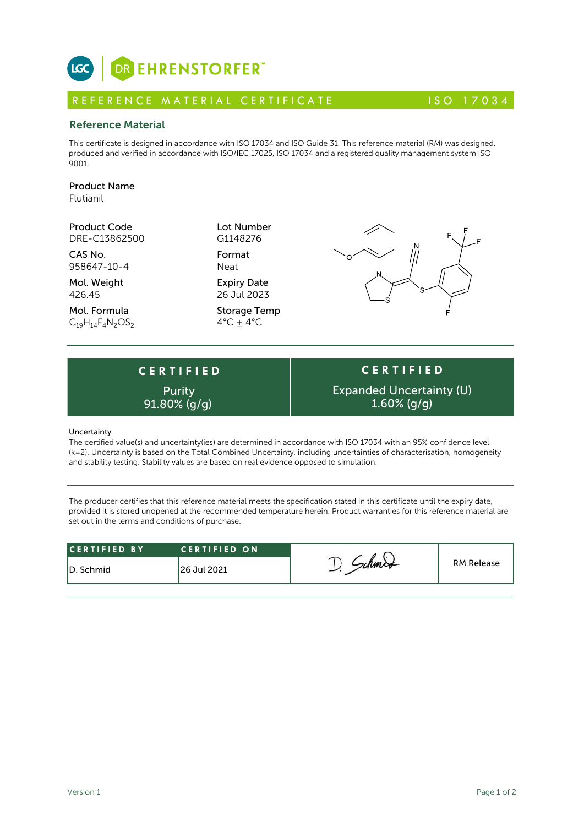

# R E FERENCE MATERIAL CERTIFICATE 150 17034

### Reference Material

This certificate is designed in accordance with ISO 17034 and ISO Guide 31. This reference material (RM) was designed, produced and verified in accordance with ISO/IEC 17025, ISO 17034 and a registered quality management system ISO 9001.

# Product Name

Flutianil

Product Code Lot Number DRE-C13862500

CAS No. Format 958647-10-4 Neat

Mol. Weight **Expiry Date** 426.45 26 Jul 2023

Mol. Formula Storage Temp  $C_{19}H_{14}F_{4}N_{2}OS_{2}$  4°C  $\pm$  4°C

G1148276



# **C E R T I F I E D Purity**

**C E R T I F I E D** Expanded Uncertainty (U)  $91.80\%$  (g/g)  $1.60\%$  (g/g)

#### Uncertainty

The certified value(s) and uncertainty(ies) are determined in accordance with ISO 17034 with an 95% confidence level (k=2). Uncertainty is based on the Total Combined Uncertainty, including uncertainties of characterisation, homogeneity and stability testing. Stability values are based on real evidence opposed to simulation.

The producer certifies that this reference material meets the specification stated in this certificate until the expiry date, provided it is stored unopened at the recommended temperature herein. Product warranties for this reference material are set out in the terms and conditions of purchase.

| <b>RM Release</b><br>126 Jul 2021 | <b>CERTIFIED BY</b> | <b>CERTIFIED ON</b> |  |  |
|-----------------------------------|---------------------|---------------------|--|--|
|                                   | ID. Schmid          |                     |  |  |